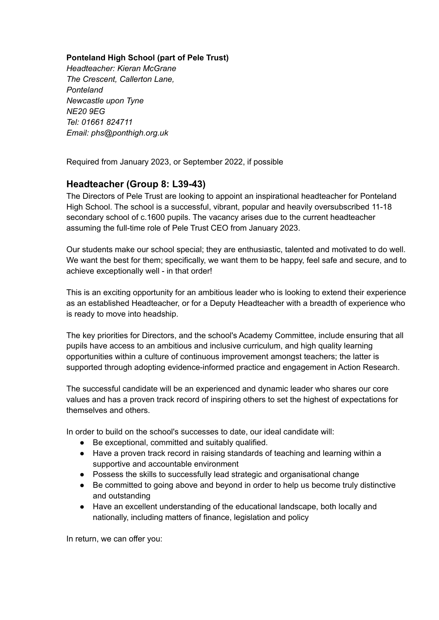## **Ponteland High School (part of Pele Trust)**

*Headteacher: Kieran McGrane The Crescent, Callerton Lane, Ponteland Newcastle upon Tyne NE20 9EG Tel: 01661 824711 Email: phs@ponthigh.org.uk*

Required from January 2023, or September 2022, if possible

## **Headteacher (Group 8: L39-43)**

The Directors of Pele Trust are looking to appoint an inspirational headteacher for Ponteland High School. The school is a successful, vibrant, popular and heavily oversubscribed 11-18 secondary school of c.1600 pupils. The vacancy arises due to the current headteacher assuming the full-time role of Pele Trust CEO from January 2023.

Our students make our school special; they are enthusiastic, talented and motivated to do well. We want the best for them; specifically, we want them to be happy, feel safe and secure, and to achieve exceptionally well - in that order!

This is an exciting opportunity for an ambitious leader who is looking to extend their experience as an established Headteacher, or for a Deputy Headteacher with a breadth of experience who is ready to move into headship.

The key priorities for Directors, and the school's Academy Committee, include ensuring that all pupils have access to an ambitious and inclusive curriculum, and high quality learning opportunities within a culture of continuous improvement amongst teachers; the latter is supported through adopting evidence-informed practice and engagement in Action Research.

The successful candidate will be an experienced and dynamic leader who shares our core values and has a proven track record of inspiring others to set the highest of expectations for themselves and others.

In order to build on the school's successes to date, our ideal candidate will:

- Be exceptional, committed and suitably qualified.
- Have a proven track record in raising standards of teaching and learning within a supportive and accountable environment
- Possess the skills to successfully lead strategic and organisational change
- Be committed to going above and beyond in order to help us become truly distinctive and outstanding
- Have an excellent understanding of the educational landscape, both locally and nationally, including matters of finance, legislation and policy

In return, we can offer you: